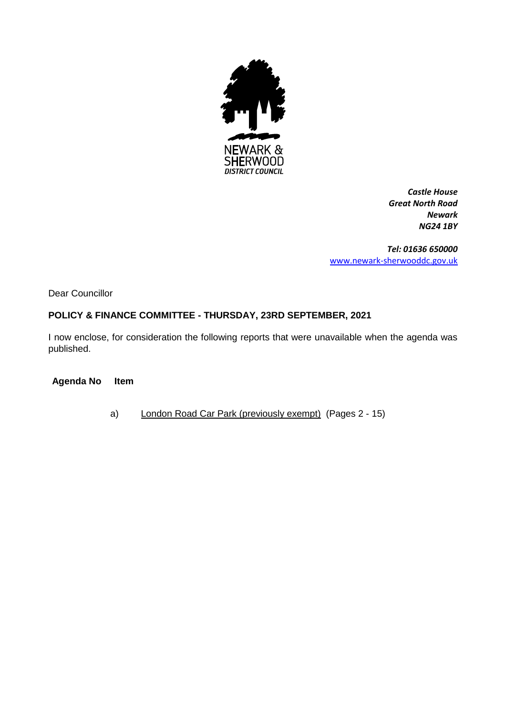

*Castle House Great North Road Newark NG24 1BY*

*Tel: 01636 650000* [www.newark-sherwooddc.gov.uk](http://www.newark-sherwooddc.gov.uk/)

Dear Councillor

# **POLICY & FINANCE COMMITTEE - THURSDAY, 23RD SEPTEMBER, 2021**

I now enclose, for consideration the following reports that were unavailable when the agenda was published.

**Agenda No Item**

a) London Road Car Park (previously exempt) (Pages 2 - 15)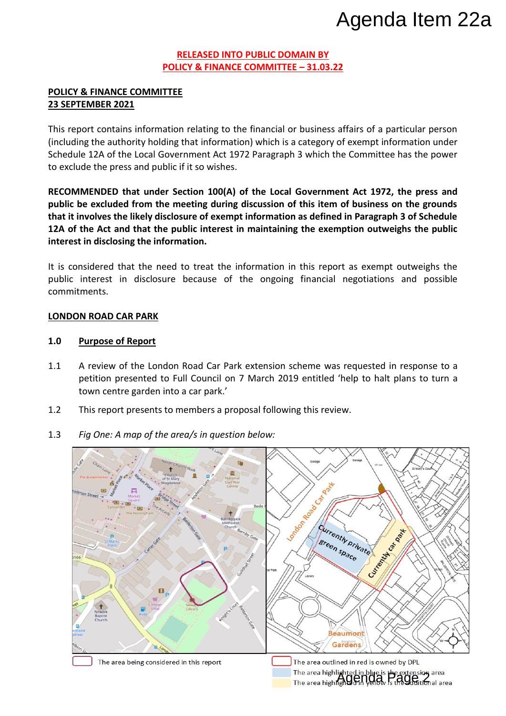#### **RELEASED INTO PUBLIC DOMAIN BY POLICY & FINANCE COMMITTEE – 31.03.22**

# **POLICY & FINANCE COMMITTEE 23 SEPTEMBER 2021**

This report contains information relating to the financial or business affairs of a particular person (including the authority holding that information) which is a category of exempt information under Schedule 12A of the Local Government Act 1972 Paragraph 3 which the Committee has the power to exclude the press and public if it so wishes.

**RECOMMENDED that under Section 100(A) of the Local Government Act 1972, the press and public be excluded from the meeting during discussion of this item of business on the grounds that it involves the likely disclosure of exempt information as defined in Paragraph 3 of Schedule 12A of the Act and that the public interest in maintaining the exemption outweighs the public interest in disclosing the information.**

It is considered that the need to treat the information in this report as exempt outweighs the public interest in disclosure because of the ongoing financial negotiations and possible commitments.

# **LONDON ROAD CAR PARK**

# **1.0 Purpose of Report**

- 1.1 A review of the London Road Car Park extension scheme was requested in response to a petition presented to Full Council on 7 March 2019 entitled 'help to halt plans to turn a town centre garden into a car park.'
- 1.2 This report presents to members a proposal following this review.
- 1.3 *Fig One: A map of the area/s in question below:*

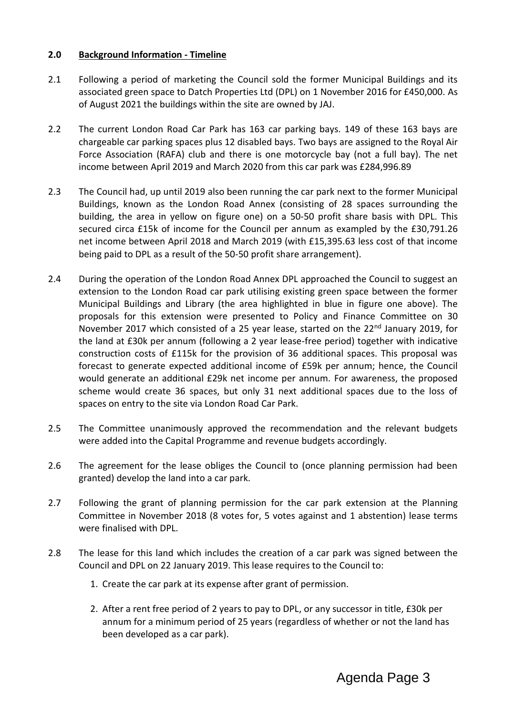#### **2.0 Background Information - Timeline**

- 2.1 Following a period of marketing the Council sold the former Municipal Buildings and its associated green space to Datch Properties Ltd (DPL) on 1 November 2016 for £450,000. As of August 2021 the buildings within the site are owned by JAJ.
- 2.2 The current London Road Car Park has 163 car parking bays. 149 of these 163 bays are chargeable car parking spaces plus 12 disabled bays. Two bays are assigned to the Royal Air Force Association (RAFA) club and there is one motorcycle bay (not a full bay). The net income between April 2019 and March 2020 from this car park was £284,996.89
- 2.3 The Council had, up until 2019 also been running the car park next to the former Municipal Buildings, known as the London Road Annex (consisting of 28 spaces surrounding the building, the area in yellow on figure one) on a 50-50 profit share basis with DPL. This secured circa £15k of income for the Council per annum as exampled by the £30,791.26 net income between April 2018 and March 2019 (with £15,395.63 less cost of that income being paid to DPL as a result of the 50-50 profit share arrangement).
- 2.4 During the operation of the London Road Annex DPL approached the Council to suggest an extension to the London Road car park utilising existing green space between the former Municipal Buildings and Library (the area highlighted in blue in figure one above). The proposals for this extension were presented to Policy and Finance Committee on 30 November 2017 which consisted of a 25 year lease, started on the 22<sup>nd</sup> January 2019, for the land at £30k per annum (following a 2 year lease-free period) together with indicative construction costs of £115k for the provision of 36 additional spaces. This proposal was forecast to generate expected additional income of £59k per annum; hence, the Council would generate an additional £29k net income per annum. For awareness, the proposed scheme would create 36 spaces, but only 31 next additional spaces due to the loss of spaces on entry to the site via London Road Car Park.
- 2.5 The Committee unanimously approved the recommendation and the relevant budgets were added into the Capital Programme and revenue budgets accordingly.
- 2.6 The agreement for the lease obliges the Council to (once planning permission had been granted) develop the land into a car park.
- 2.7 Following the grant of planning permission for the car park extension at the Planning Committee in November 2018 (8 votes for, 5 votes against and 1 abstention) lease terms were finalised with DPL.
- 2.8 The lease for this land which includes the creation of a car park was signed between the Council and DPL on 22 January 2019. This lease requires to the Council to:
	- 1. Create the car park at its expense after grant of permission.
	- 2. After a rent free period of 2 years to pay to DPL, or any successor in title, £30k per annum for a minimum period of 25 years (regardless of whether or not the land has been developed as a car park).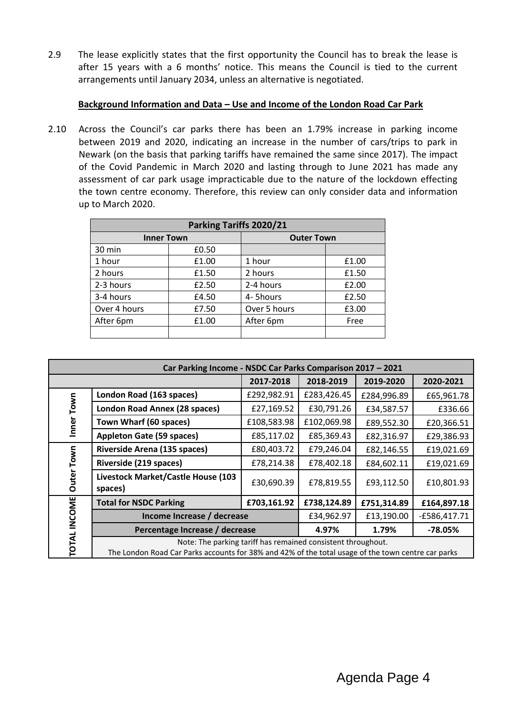2.9 The lease explicitly states that the first opportunity the Council has to break the lease is after 15 years with a 6 months' notice. This means the Council is tied to the current arrangements until January 2034, unless an alternative is negotiated.

# **Background Information and Data – Use and Income of the London Road Car Park**

2.10 Across the Council's car parks there has been an 1.79% increase in parking income between 2019 and 2020, indicating an increase in the number of cars/trips to park in Newark (on the basis that parking tariffs have remained the same since 2017). The impact of the Covid Pandemic in March 2020 and lasting through to June 2021 has made any assessment of car park usage impracticable due to the nature of the lockdown effecting the town centre economy. Therefore, this review can only consider data and information up to March 2020.

| Parking Tariffs 2020/21 |       |                   |       |  |
|-------------------------|-------|-------------------|-------|--|
| <b>Inner Town</b>       |       | <b>Outer Town</b> |       |  |
| 30 min                  | £0.50 |                   |       |  |
| 1 hour                  | £1.00 | 1 hour            | £1.00 |  |
| 2 hours                 | £1.50 | 2 hours           | £1.50 |  |
| 2-3 hours               | £2.50 | 2-4 hours         | £2.00 |  |
| 3-4 hours               | £4.50 | 4-5hours          | £2.50 |  |
| Over 4 hours            | £7.50 | Over 5 hours      | £3.00 |  |
| After 6pm               | £1.00 | After 6pm         | Free  |  |
|                         |       |                   |       |  |

| Car Parking Income - NSDC Car Parks Comparison 2017 - 2021 |                                                                                                                                                                    |             |             |                |             |  |
|------------------------------------------------------------|--------------------------------------------------------------------------------------------------------------------------------------------------------------------|-------------|-------------|----------------|-------------|--|
|                                                            |                                                                                                                                                                    | 2017-2018   | 2018-2019   | 2019-2020      | 2020-2021   |  |
| Town<br>Inner                                              | London Road (163 spaces)                                                                                                                                           | £292,982.91 | £283,426.45 | £284,996.89    | £65,961.78  |  |
|                                                            | London Road Annex (28 spaces)                                                                                                                                      | £27,169.52  | £30,791.26  | £34,587.57     | £336.66     |  |
|                                                            | Town Wharf (60 spaces)                                                                                                                                             | £108,583.98 | £102,069.98 | £89,552.30     | £20,366.51  |  |
|                                                            | <b>Appleton Gate (59 spaces)</b>                                                                                                                                   | £85,117.02  | £85,369.43  | £82,316.97     | £29,386.93  |  |
|                                                            | <b>Riverside Arena (135 spaces)</b>                                                                                                                                | £80,403.72  | £79,246.04  | £82,146.55     | £19,021.69  |  |
| Town                                                       | Riverside (219 spaces)                                                                                                                                             | £78,214.38  | £78,402.18  | £84,602.11     | £19,021.69  |  |
| Outer                                                      | Livestock Market/Castle House (103<br>spaces)                                                                                                                      | £30,690.39  | £78,819.55  | £93,112.50     | £10,801.93  |  |
|                                                            | <b>Total for NSDC Parking</b>                                                                                                                                      | £703,161.92 | £738,124.89 | £751,314.89    | £164,897.18 |  |
|                                                            | Income Increase / decrease                                                                                                                                         | £34,962.97  | £13,190.00  | $-£586,417.71$ |             |  |
|                                                            | Percentage Increase / decrease                                                                                                                                     | 4.97%       | 1.79%       | $-78.05%$      |             |  |
| <b>TOTAL INCOME</b>                                        | Note: The parking tariff has remained consistent throughout.<br>The London Road Car Parks accounts for 38% and 42% of the total usage of the town centre car parks |             |             |                |             |  |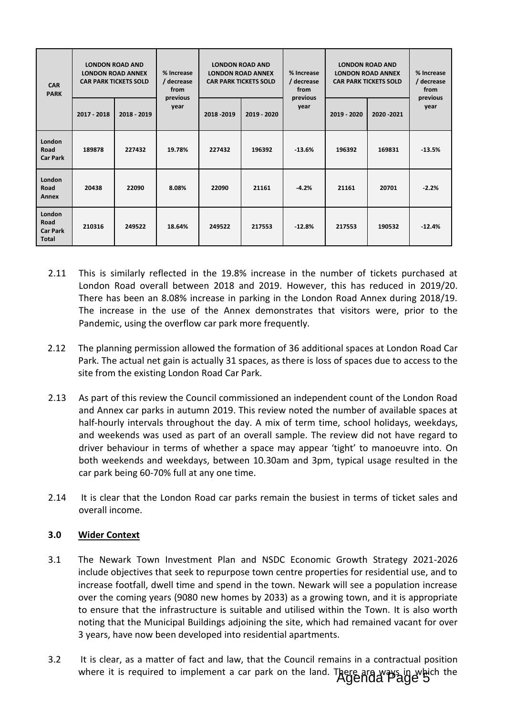| <b>CAR</b><br><b>PARK</b>                         |             | <b>LONDON ROAD AND</b><br><b>LONDON ROAD ANNEX</b><br><b>CAR PARK TICKETS SOLD</b> | % Increase<br>/ decrease<br>from | <b>LONDON ROAD AND</b><br><b>LONDON ROAD ANNEX</b><br><b>CAR PARK TICKETS SOLD</b><br>from |             | % Increase<br>/ decrease<br>previous | <b>LONDON ROAD AND</b><br><b>LONDON ROAD ANNEX</b><br><b>CAR PARK TICKETS SOLD</b> |             | % Increase<br>/ decrease<br>from<br>previous |
|---------------------------------------------------|-------------|------------------------------------------------------------------------------------|----------------------------------|--------------------------------------------------------------------------------------------|-------------|--------------------------------------|------------------------------------------------------------------------------------|-------------|----------------------------------------------|
|                                                   | 2017 - 2018 | 2018 - 2019                                                                        | previous<br>year                 | 2018 - 2019                                                                                | 2019 - 2020 | year                                 | 2019 - 2020                                                                        | 2020 - 2021 | year                                         |
| London<br>Road<br><b>Car Park</b>                 | 189878      | 227432                                                                             | 19.78%                           | 227432                                                                                     | 196392      | $-13.6%$                             | 196392                                                                             | 169831      | $-13.5%$                                     |
| London<br>Road<br>Annex                           | 20438       | 22090                                                                              | 8.08%                            | 22090                                                                                      | 21161       | $-4.2%$                              | 21161                                                                              | 20701       | $-2.2%$                                      |
| London<br>Road<br><b>Car Park</b><br><b>Total</b> | 210316      | 249522                                                                             | 18.64%                           | 249522                                                                                     | 217553      | $-12.8%$                             | 217553                                                                             | 190532      | $-12.4%$                                     |

- 2.11 This is similarly reflected in the 19.8% increase in the number of tickets purchased at London Road overall between 2018 and 2019. However, this has reduced in 2019/20. There has been an 8.08% increase in parking in the London Road Annex during 2018/19. The increase in the use of the Annex demonstrates that visitors were, prior to the Pandemic, using the overflow car park more frequently.
- 2.12 The planning permission allowed the formation of 36 additional spaces at London Road Car Park. The actual net gain is actually 31 spaces, as there is loss of spaces due to access to the site from the existing London Road Car Park.
- 2.13 As part of this review the Council commissioned an independent count of the London Road and Annex car parks in autumn 2019. This review noted the number of available spaces at half-hourly intervals throughout the day. A mix of term time, school holidays, weekdays, and weekends was used as part of an overall sample. The review did not have regard to driver behaviour in terms of whether a space may appear 'tight' to manoeuvre into. On both weekends and weekdays, between 10.30am and 3pm, typical usage resulted in the car park being 60-70% full at any one time.
- 2.14 It is clear that the London Road car parks remain the busiest in terms of ticket sales and overall income.

# **3.0 Wider Context**

- 3.1 The Newark Town Investment Plan and NSDC Economic Growth Strategy 2021-2026 include objectives that seek to repurpose town centre properties for residential use, and to increase footfall, dwell time and spend in the town. Newark will see a population increase over the coming years (9080 new homes by 2033) as a growing town, and it is appropriate to ensure that the infrastructure is suitable and utilised within the Town. It is also worth noting that the Municipal Buildings adjoining the site, which had remained vacant for over 3 years, have now been developed into residential apartments.
- 3.2 It is clear, as a matter of fact and law, that the Council remains in a contractual position where it is required to implement a car park on the land. There are ways in which the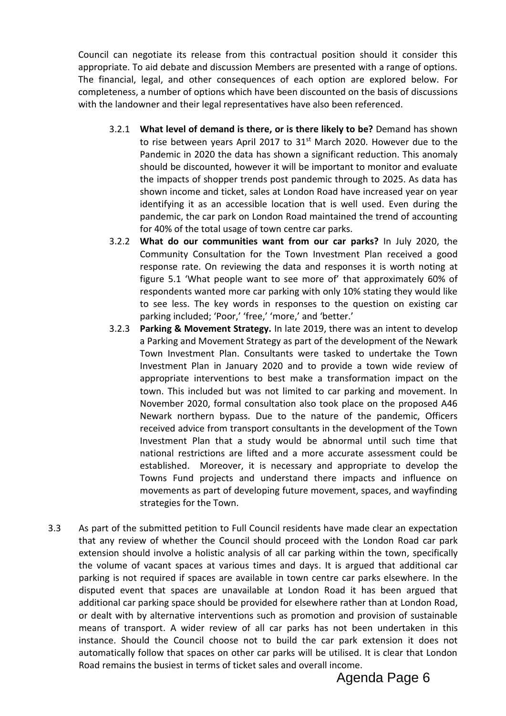Council can negotiate its release from this contractual position should it consider this appropriate. To aid debate and discussion Members are presented with a range of options. The financial, legal, and other consequences of each option are explored below. For completeness, a number of options which have been discounted on the basis of discussions with the landowner and their legal representatives have also been referenced.

- 3.2.1 **What level of demand is there, or is there likely to be?** Demand has shown to rise between years April 2017 to 31<sup>st</sup> March 2020. However due to the Pandemic in 2020 the data has shown a significant reduction. This anomaly should be discounted, however it will be important to monitor and evaluate the impacts of shopper trends post pandemic through to 2025. As data has shown income and ticket, sales at London Road have increased year on year identifying it as an accessible location that is well used. Even during the pandemic, the car park on London Road maintained the trend of accounting for 40% of the total usage of town centre car parks.
- 3.2.2 **What do our communities want from our car parks?** In July 2020, the Community Consultation for the Town Investment Plan received a good response rate. On reviewing the data and responses it is worth noting at figure 5.1 'What people want to see more of' that approximately 60% of respondents wanted more car parking with only 10% stating they would like to see less. The key words in responses to the question on existing car parking included; 'Poor,' 'free,' 'more,' and 'better.'
- 3.2.3 **Parking & Movement Strategy.** In late 2019, there was an intent to develop a Parking and Movement Strategy as part of the development of the Newark Town Investment Plan. Consultants were tasked to undertake the Town Investment Plan in January 2020 and to provide a town wide review of appropriate interventions to best make a transformation impact on the town. This included but was not limited to car parking and movement. In November 2020, formal consultation also took place on the proposed A46 Newark northern bypass. Due to the nature of the pandemic, Officers received advice from transport consultants in the development of the Town Investment Plan that a study would be abnormal until such time that national restrictions are lifted and a more accurate assessment could be established. Moreover, it is necessary and appropriate to develop the Towns Fund projects and understand there impacts and influence on movements as part of developing future movement, spaces, and wayfinding strategies for the Town.
- 3.3 As part of the submitted petition to Full Council residents have made clear an expectation that any review of whether the Council should proceed with the London Road car park extension should involve a holistic analysis of all car parking within the town, specifically the volume of vacant spaces at various times and days. It is argued that additional car parking is not required if spaces are available in town centre car parks elsewhere. In the disputed event that spaces are unavailable at London Road it has been argued that additional car parking space should be provided for elsewhere rather than at London Road, or dealt with by alternative interventions such as promotion and provision of sustainable means of transport. A wider review of all car parks has not been undertaken in this instance. Should the Council choose not to build the car park extension it does not automatically follow that spaces on other car parks will be utilised. It is clear that London Road remains the busiest in terms of ticket sales and overall income.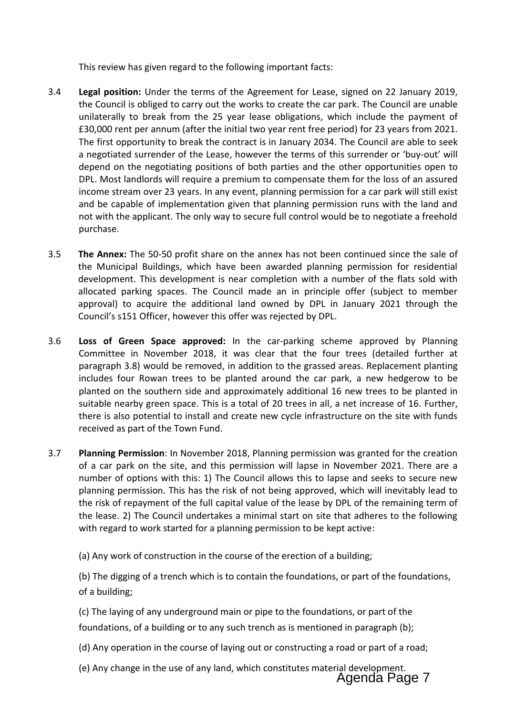This review has given regard to the following important facts:

- 3.4 **Legal position:** Under the terms of the Agreement for Lease, signed on 22 January 2019, the Council is obliged to carry out the works to create the car park. The Council are unable unilaterally to break from the 25 year lease obligations, which include the payment of £30,000 rent per annum (after the initial two year rent free period) for 23 years from 2021. The first opportunity to break the contract is in January 2034. The Council are able to seek a negotiated surrender of the Lease, however the terms of this surrender or 'buy-out' will depend on the negotiating positions of both parties and the other opportunities open to DPL. Most landlords will require a premium to compensate them for the loss of an assured income stream over 23 years. In any event, planning permission for a car park will still exist and be capable of implementation given that planning permission runs with the land and not with the applicant. The only way to secure full control would be to negotiate a freehold purchase.
- 3.5 **The Annex:** The 50-50 profit share on the annex has not been continued since the sale of the Municipal Buildings, which have been awarded planning permission for residential development. This development is near completion with a number of the flats sold with allocated parking spaces. The Council made an in principle offer (subject to member approval) to acquire the additional land owned by DPL in January 2021 through the Council's s151 Officer, however this offer was rejected by DPL.
- 3.6 **Loss of Green Space approved:** In the car-parking scheme approved by Planning Committee in November 2018, it was clear that the four trees (detailed further at paragraph 3.8) would be removed, in addition to the grassed areas. Replacement planting includes four Rowan trees to be planted around the car park, a new hedgerow to be planted on the southern side and approximately additional 16 new trees to be planted in suitable nearby green space. This is a total of 20 trees in all, a net increase of 16. Further, there is also potential to install and create new cycle infrastructure on the site with funds received as part of the Town Fund.
- 3.7 **Planning Permission**: In November 2018, Planning permission was granted for the creation of a car park on the site, and this permission will lapse in November 2021. There are a number of options with this: 1) The Council allows this to lapse and seeks to secure new planning permission. This has the risk of not being approved, which will inevitably lead to the risk of repayment of the full capital value of the lease by DPL of the remaining term of the lease. 2) The Council undertakes a minimal start on site that adheres to the following with regard to work started for a planning permission to be kept active:
	- (a) Any work of construction in the course of the erection of a building;

(b) The digging of a trench which is to contain the foundations, or part of the foundations, of a building;

(c) The laying of any underground main or pipe to the foundations, or part of the foundations, of a building or to any such trench as is mentioned in paragraph (b);

(d) Any operation in the course of laying out or constructing a road or part of a road;

(e) Any change in the use of any land, which constitutes material development. Agenda Page 7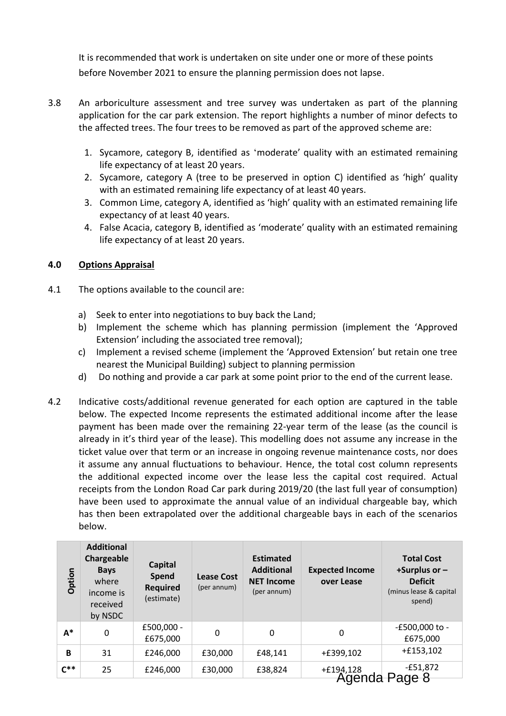It is recommended that work is undertaken on site under one or more of these points before November 2021 to ensure the planning permission does not lapse.

- 3.8 An arboriculture assessment and tree survey was undertaken as part of the planning application for the car park extension. The report highlights a number of minor defects to the affected trees. The four trees to be removed as part of the approved scheme are:
	- 1. Sycamore, category B, identified as 'moderate' quality with an estimated remaining life expectancy of at least 20 years.
	- 2. Sycamore, category A (tree to be preserved in option C) identified as 'high' quality with an estimated remaining life expectancy of at least 40 years.
	- 3. Common Lime, category A, identified as 'high' quality with an estimated remaining life expectancy of at least 40 years.
	- 4. False Acacia, category B, identified as 'moderate' quality with an estimated remaining life expectancy of at least 20 years.

# **4.0 Options Appraisal**

- 4.1 The options available to the council are:
	- a) Seek to enter into negotiations to buy back the Land;
	- b) Implement the scheme which has planning permission (implement the 'Approved Extension' including the associated tree removal);
	- c) Implement a revised scheme (implement the 'Approved Extension' but retain one tree nearest the Municipal Building) subject to planning permission
	- d) Do nothing and provide a car park at some point prior to the end of the current lease.
- 4.2 Indicative costs/additional revenue generated for each option are captured in the table below. The expected Income represents the estimated additional income after the lease payment has been made over the remaining 22-year term of the lease (as the council is already in it's third year of the lease). This modelling does not assume any increase in the ticket value over that term or an increase in ongoing revenue maintenance costs, nor does it assume any annual fluctuations to behaviour. Hence, the total cost column represents the additional expected income over the lease less the capital cost required. Actual receipts from the London Road Car park during 2019/20 (the last full year of consumption) have been used to approximate the annual value of an individual chargeable bay, which has then been extrapolated over the additional chargeable bays in each of the scenarios below.

| Option   | <b>Additional</b><br>Chargeable<br><b>Bays</b><br>where<br>income is<br>received<br>by NSDC | <b>Capital</b><br><b>Spend</b><br><b>Required</b><br>(estimate) | <b>Lease Cost</b><br>(per annum) | <b>Estimated</b><br><b>Additional</b><br><b>NET Income</b><br>(per annum) | <b>Expected Income</b><br>over Lease | <b>Total Cost</b><br>+Surplus or $-$<br><b>Deficit</b><br>(minus lease & capital<br>spend) |
|----------|---------------------------------------------------------------------------------------------|-----------------------------------------------------------------|----------------------------------|---------------------------------------------------------------------------|--------------------------------------|--------------------------------------------------------------------------------------------|
| $A^*$    | 0                                                                                           | £500,000 -<br>£675,000                                          | 0                                | 0                                                                         | 0                                    | -£500,000 to -<br>£675,000                                                                 |
| B        | 31                                                                                          | £246,000                                                        | £30,000                          | £48,141                                                                   | +£399,102                            | $+£153,102$                                                                                |
| $C^{**}$ | 25                                                                                          | £246,000                                                        | £30,000                          | £38,824                                                                   | $+£19,4,128$                         | $-£51,872$<br>Agenda Page 8                                                                |

Agenua Fage d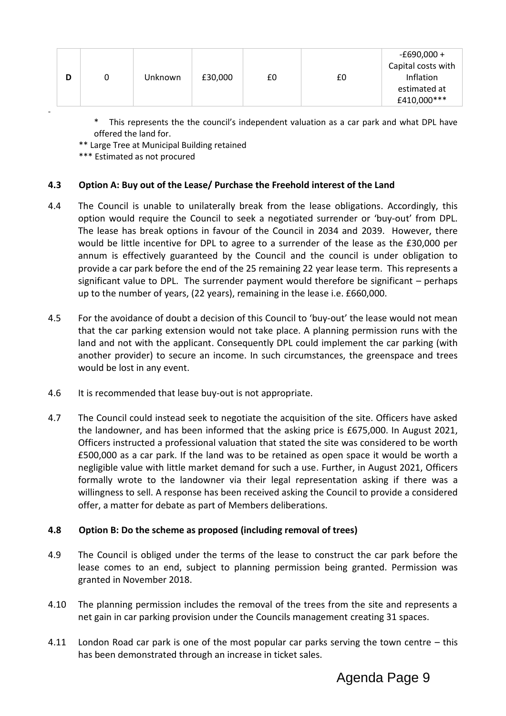| -£690,000 +<br>Capital costs with<br>Inflation<br>£30,000<br>£0<br>Unknown<br>£0<br>U<br>estimated at |
|-------------------------------------------------------------------------------------------------------|
|-------------------------------------------------------------------------------------------------------|

This represents the the council's independent valuation as a car park and what DPL have offered the land for.

\*\* Large Tree at Municipal Building retained

\*\*\* Estimated as not procured

# **4.3 Option A: Buy out of the Lease/ Purchase the Freehold interest of the Land**

- 4.4 The Council is unable to unilaterally break from the lease obligations. Accordingly, this option would require the Council to seek a negotiated surrender or 'buy-out' from DPL. The lease has break options in favour of the Council in 2034 and 2039. However, there would be little incentive for DPL to agree to a surrender of the lease as the £30,000 per annum is effectively guaranteed by the Council and the council is under obligation to provide a car park before the end of the 25 remaining 22 year lease term. This represents a significant value to DPL. The surrender payment would therefore be significant – perhaps up to the number of years, (22 years), remaining in the lease i.e. £660,000.
- 4.5 For the avoidance of doubt a decision of this Council to 'buy-out' the lease would not mean that the car parking extension would not take place. A planning permission runs with the land and not with the applicant. Consequently DPL could implement the car parking (with another provider) to secure an income. In such circumstances, the greenspace and trees would be lost in any event.
- 4.6 It is recommended that lease buy-out is not appropriate.
- 4.7 The Council could instead seek to negotiate the acquisition of the site. Officers have asked the landowner, and has been informed that the asking price is £675,000. In August 2021, Officers instructed a professional valuation that stated the site was considered to be worth £500,000 as a car park. If the land was to be retained as open space it would be worth a negligible value with little market demand for such a use. Further, in August 2021, Officers formally wrote to the landowner via their legal representation asking if there was a willingness to sell. A response has been received asking the Council to provide a considered offer, a matter for debate as part of Members deliberations.

# **4.8 Option B: Do the scheme as proposed (including removal of trees)**

- 4.9 The Council is obliged under the terms of the lease to construct the car park before the lease comes to an end, subject to planning permission being granted. Permission was granted in November 2018.
- 4.10 The planning permission includes the removal of the trees from the site and represents a net gain in car parking provision under the Councils management creating 31 spaces.
- 4.11 London Road car park is one of the most popular car parks serving the town centre this has been demonstrated through an increase in ticket sales.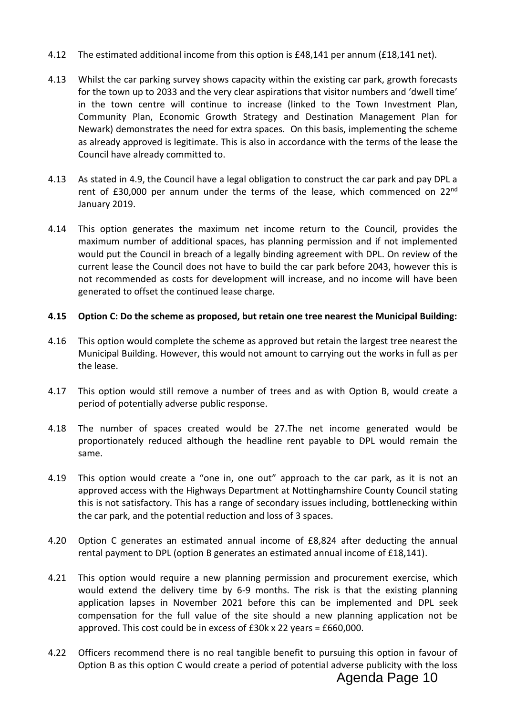- 4.12 The estimated additional income from this option is £48,141 per annum (£18,141 net).
- 4.13 Whilst the car parking survey shows capacity within the existing car park, growth forecasts for the town up to 2033 and the very clear aspirations that visitor numbers and 'dwell time' in the town centre will continue to increase (linked to the Town Investment Plan, Community Plan, Economic Growth Strategy and Destination Management Plan for Newark) demonstrates the need for extra spaces. On this basis, implementing the scheme as already approved is legitimate. This is also in accordance with the terms of the lease the Council have already committed to.
- 4.13 As stated in 4.9, the Council have a legal obligation to construct the car park and pay DPL a rent of £30,000 per annum under the terms of the lease, which commenced on  $22^{nd}$ January 2019.
- 4.14 This option generates the maximum net income return to the Council, provides the maximum number of additional spaces, has planning permission and if not implemented would put the Council in breach of a legally binding agreement with DPL. On review of the current lease the Council does not have to build the car park before 2043, however this is not recommended as costs for development will increase, and no income will have been generated to offset the continued lease charge.

# **4.15 Option C: Do the scheme as proposed, but retain one tree nearest the Municipal Building:**

- 4.16 This option would complete the scheme as approved but retain the largest tree nearest the Municipal Building. However, this would not amount to carrying out the works in full as per the lease.
- 4.17 This option would still remove a number of trees and as with Option B, would create a period of potentially adverse public response.
- 4.18 The number of spaces created would be 27.The net income generated would be proportionately reduced although the headline rent payable to DPL would remain the same.
- 4.19 This option would create a "one in, one out" approach to the car park, as it is not an approved access with the Highways Department at Nottinghamshire County Council stating this is not satisfactory. This has a range of secondary issues including, bottlenecking within the car park, and the potential reduction and loss of 3 spaces.
- 4.20 Option C generates an estimated annual income of £8,824 after deducting the annual rental payment to DPL (option B generates an estimated annual income of £18,141).
- 4.21 This option would require a new planning permission and procurement exercise, which would extend the delivery time by 6-9 months. The risk is that the existing planning application lapses in November 2021 before this can be implemented and DPL seek compensation for the full value of the site should a new planning application not be approved. This cost could be in excess of £30k x 22 years = £660,000.
- 4.22 Officers recommend there is no real tangible benefit to pursuing this option in favour of Option B as this option C would create a period of potential adverse publicity with the loss Agenda Page 10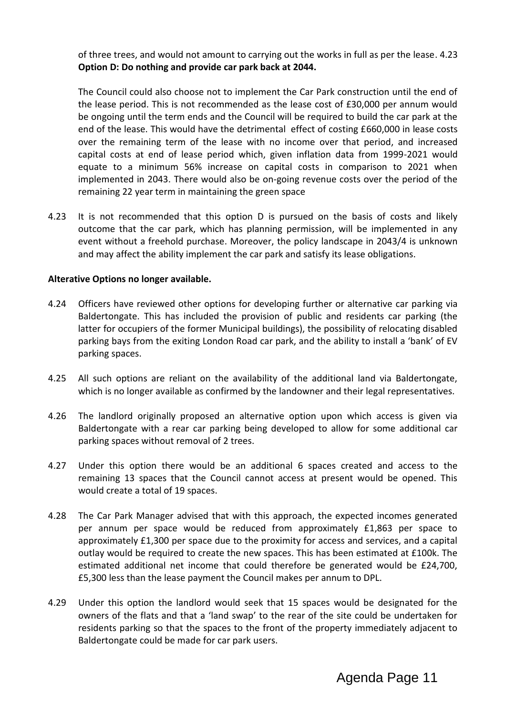of three trees, and would not amount to carrying out the works in full as per the lease. 4.23 **Option D: Do nothing and provide car park back at 2044.**

The Council could also choose not to implement the Car Park construction until the end of the lease period. This is not recommended as the lease cost of £30,000 per annum would be ongoing until the term ends and the Council will be required to build the car park at the end of the lease. This would have the detrimental effect of costing £660,000 in lease costs over the remaining term of the lease with no income over that period, and increased capital costs at end of lease period which, given inflation data from 1999-2021 would equate to a minimum 56% increase on capital costs in comparison to 2021 when implemented in 2043. There would also be on-going revenue costs over the period of the remaining 22 year term in maintaining the green space

4.23 It is not recommended that this option D is pursued on the basis of costs and likely outcome that the car park, which has planning permission, will be implemented in any event without a freehold purchase. Moreover, the policy landscape in 2043/4 is unknown and may affect the ability implement the car park and satisfy its lease obligations.

#### **Alterative Options no longer available.**

- 4.24 Officers have reviewed other options for developing further or alternative car parking via Baldertongate. This has included the provision of public and residents car parking (the latter for occupiers of the former Municipal buildings), the possibility of relocating disabled parking bays from the exiting London Road car park, and the ability to install a 'bank' of EV parking spaces.
- 4.25 All such options are reliant on the availability of the additional land via Baldertongate, which is no longer available as confirmed by the landowner and their legal representatives.
- 4.26 The landlord originally proposed an alternative option upon which access is given via Baldertongate with a rear car parking being developed to allow for some additional car parking spaces without removal of 2 trees.
- 4.27 Under this option there would be an additional 6 spaces created and access to the remaining 13 spaces that the Council cannot access at present would be opened. This would create a total of 19 spaces.
- 4.28 The Car Park Manager advised that with this approach, the expected incomes generated per annum per space would be reduced from approximately £1,863 per space to approximately £1,300 per space due to the proximity for access and services, and a capital outlay would be required to create the new spaces. This has been estimated at £100k. The estimated additional net income that could therefore be generated would be £24,700, £5,300 less than the lease payment the Council makes per annum to DPL.
- 4.29 Under this option the landlord would seek that 15 spaces would be designated for the owners of the flats and that a 'land swap' to the rear of the site could be undertaken for residents parking so that the spaces to the front of the property immediately adjacent to Baldertongate could be made for car park users.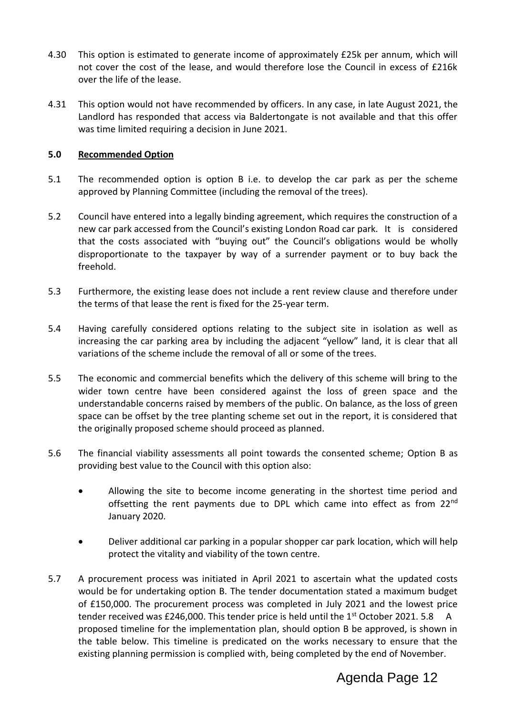- 4.30 This option is estimated to generate income of approximately £25k per annum, which will not cover the cost of the lease, and would therefore lose the Council in excess of £216k over the life of the lease.
- 4.31 This option would not have recommended by officers. In any case, in late August 2021, the Landlord has responded that access via Baldertongate is not available and that this offer was time limited requiring a decision in June 2021.

# **5.0 Recommended Option**

- 5.1 The recommended option is option B i.e. to develop the car park as per the scheme approved by Planning Committee (including the removal of the trees).
- 5.2 Council have entered into a legally binding agreement, which requires the construction of a new car park accessed from the Council's existing London Road car park. It is considered that the costs associated with "buying out" the Council's obligations would be wholly disproportionate to the taxpayer by way of a surrender payment or to buy back the freehold.
- 5.3 Furthermore, the existing lease does not include a rent review clause and therefore under the terms of that lease the rent is fixed for the 25-year term.
- 5.4 Having carefully considered options relating to the subject site in isolation as well as increasing the car parking area by including the adjacent "yellow" land, it is clear that all variations of the scheme include the removal of all or some of the trees.
- 5.5 The economic and commercial benefits which the delivery of this scheme will bring to the wider town centre have been considered against the loss of green space and the understandable concerns raised by members of the public. On balance, as the loss of green space can be offset by the tree planting scheme set out in the report, it is considered that the originally proposed scheme should proceed as planned.
- 5.6 The financial viability assessments all point towards the consented scheme; Option B as providing best value to the Council with this option also:
	- Allowing the site to become income generating in the shortest time period and offsetting the rent payments due to DPL which came into effect as from 22<sup>nd</sup> January 2020.
	- Deliver additional car parking in a popular shopper car park location, which will help protect the vitality and viability of the town centre.
- 5.7 A procurement process was initiated in April 2021 to ascertain what the updated costs would be for undertaking option B. The tender documentation stated a maximum budget of £150,000. The procurement process was completed in July 2021 and the lowest price tender received was £246,000. This tender price is held until the  $1<sup>st</sup>$  October 2021. 5.8 A proposed timeline for the implementation plan, should option B be approved, is shown in the table below. This timeline is predicated on the works necessary to ensure that the existing planning permission is complied with, being completed by the end of November.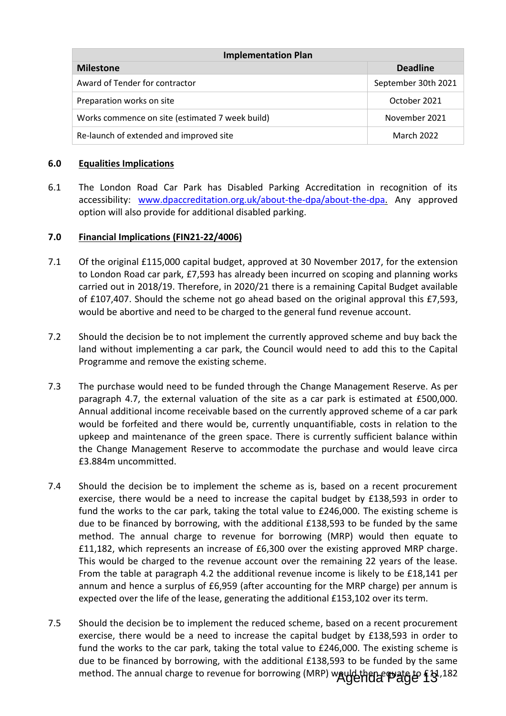| <b>Implementation Plan</b>                      |                     |  |  |  |
|-------------------------------------------------|---------------------|--|--|--|
| <b>Milestone</b>                                | <b>Deadline</b>     |  |  |  |
| Award of Tender for contractor                  | September 30th 2021 |  |  |  |
| Preparation works on site                       | October 2021        |  |  |  |
| Works commence on site (estimated 7 week build) | November 2021       |  |  |  |
| Re-launch of extended and improved site         | March 2022          |  |  |  |

# **6.0 Equalities Implications**

6.1 The London Road Car Park has Disabled Parking Accreditation in recognition of its accessibility: [www.dpaccreditation.org.uk/about-the-dpa/about-the-dpa.](http://www.dpaccreditation.org.uk/about-the-dpa/about-the-dpa) Any approved option will also provide for additional disabled parking.

# **7.0 Financial Implications (FIN21-22/4006)**

- 7.1 Of the original £115,000 capital budget, approved at 30 November 2017, for the extension to London Road car park, £7,593 has already been incurred on scoping and planning works carried out in 2018/19. Therefore, in 2020/21 there is a remaining Capital Budget available of £107,407. Should the scheme not go ahead based on the original approval this £7,593, would be abortive and need to be charged to the general fund revenue account.
- 7.2 Should the decision be to not implement the currently approved scheme and buy back the land without implementing a car park, the Council would need to add this to the Capital Programme and remove the existing scheme.
- 7.3 The purchase would need to be funded through the Change Management Reserve. As per paragraph 4.7, the external valuation of the site as a car park is estimated at £500,000. Annual additional income receivable based on the currently approved scheme of a car park would be forfeited and there would be, currently unquantifiable, costs in relation to the upkeep and maintenance of the green space. There is currently sufficient balance within the Change Management Reserve to accommodate the purchase and would leave circa £3.884m uncommitted.
- 7.4 Should the decision be to implement the scheme as is, based on a recent procurement exercise, there would be a need to increase the capital budget by £138,593 in order to fund the works to the car park, taking the total value to £246,000. The existing scheme is due to be financed by borrowing, with the additional £138,593 to be funded by the same method. The annual charge to revenue for borrowing (MRP) would then equate to £11,182, which represents an increase of £6,300 over the existing approved MRP charge. This would be charged to the revenue account over the remaining 22 years of the lease. From the table at paragraph 4.2 the additional revenue income is likely to be £18,141 per annum and hence a surplus of £6,959 (after accounting for the MRP charge) per annum is expected over the life of the lease, generating the additional £153,102 over its term.
- 7.5 Should the decision be to implement the reduced scheme, based on a recent procurement exercise, there would be a need to increase the capital budget by £138,593 in order to fund the works to the car park, taking the total value to £246,000. The existing scheme is due to be financed by borrowing, with the additional £138,593 to be funded by the same method. The annual charge to revenue for borrowing (MRP) would then equate to £1,182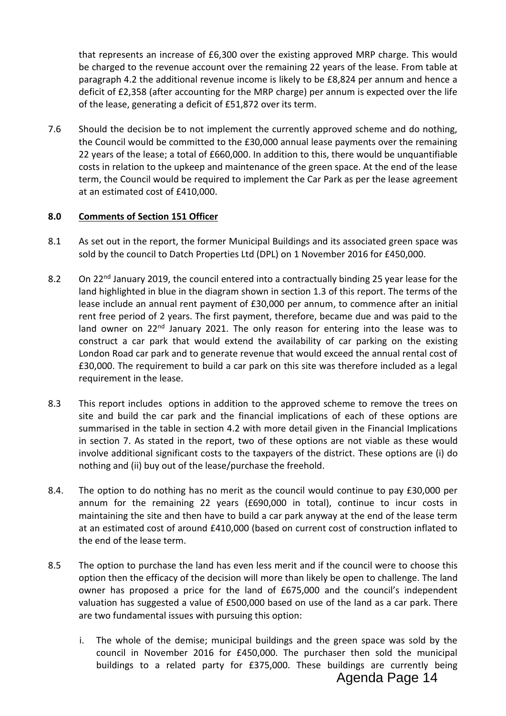that represents an increase of £6,300 over the existing approved MRP charge. This would be charged to the revenue account over the remaining 22 years of the lease. From table at paragraph 4.2 the additional revenue income is likely to be £8,824 per annum and hence a deficit of £2,358 (after accounting for the MRP charge) per annum is expected over the life of the lease, generating a deficit of £51,872 over its term.

7.6 Should the decision be to not implement the currently approved scheme and do nothing, the Council would be committed to the £30,000 annual lease payments over the remaining 22 years of the lease; a total of £660,000. In addition to this, there would be unquantifiable costs in relation to the upkeep and maintenance of the green space. At the end of the lease term, the Council would be required to implement the Car Park as per the lease agreement at an estimated cost of £410,000.

# **8.0 Comments of Section 151 Officer**

- 8.1 As set out in the report, the former Municipal Buildings and its associated green space was sold by the council to Datch Properties Ltd (DPL) on 1 November 2016 for £450,000.
- 8.2 On 22<sup>nd</sup> January 2019, the council entered into a contractually binding 25 year lease for the land highlighted in blue in the diagram shown in section 1.3 of this report. The terms of the lease include an annual rent payment of £30,000 per annum, to commence after an initial rent free period of 2 years. The first payment, therefore, became due and was paid to the land owner on 22<sup>nd</sup> January 2021. The only reason for entering into the lease was to construct a car park that would extend the availability of car parking on the existing London Road car park and to generate revenue that would exceed the annual rental cost of £30,000. The requirement to build a car park on this site was therefore included as a legal requirement in the lease.
- 8.3 This report includes options in addition to the approved scheme to remove the trees on site and build the car park and the financial implications of each of these options are summarised in the table in section 4.2 with more detail given in the Financial Implications in section 7. As stated in the report, two of these options are not viable as these would involve additional significant costs to the taxpayers of the district. These options are (i) do nothing and (ii) buy out of the lease/purchase the freehold.
- 8.4. The option to do nothing has no merit as the council would continue to pay £30,000 per annum for the remaining 22 years (£690,000 in total), continue to incur costs in maintaining the site and then have to build a car park anyway at the end of the lease term at an estimated cost of around £410,000 (based on current cost of construction inflated to the end of the lease term.
- 8.5 The option to purchase the land has even less merit and if the council were to choose this option then the efficacy of the decision will more than likely be open to challenge. The land owner has proposed a price for the land of £675,000 and the council's independent valuation has suggested a value of £500,000 based on use of the land as a car park. There are two fundamental issues with pursuing this option:
	- i. The whole of the demise; municipal buildings and the green space was sold by the council in November 2016 for £450,000. The purchaser then sold the municipal buildings to a related party for £375,000. These buildings are currently being Agenda Page 14